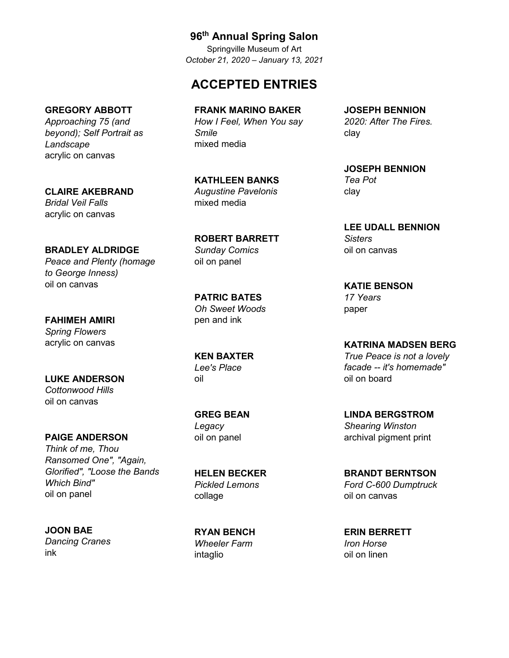## **96th Annual Spring Salon**

Springville Museum of Art *October 21, 2020 – January 13, 2021*

## **ACCEPTED ENTRIES**

#### **GREGORY ABBOTT**

*Approaching 75 (and beyond); Self Portrait as Landscape* acrylic on canvas

#### **CLAIRE AKEBRAND**

*Bridal Veil Falls* acrylic on canvas

#### **BRADLEY ALDRIDGE**

*Peace and Plenty (homage to George Inness)* oil on canvas

**FAHIMEH AMIRI** *Spring Flowers* acrylic on canvas

**LUKE ANDERSON** *Cottonwood Hills* oil on canvas

**PAIGE ANDERSON** *Think of me, Thou Ransomed One", "Again, Glorified", "Loose the Bands Which Bind"* oil on panel

#### **JOON BAE**

*Dancing Cranes* ink

**FRANK MARINO BAKER** *How I Feel, When You say Smile* mixed media

**KATHLEEN BANKS** *Augustine Pavelonis* mixed media

**ROBERT BARRETT** *Sunday Comics* oil on panel

**PATRIC BATES** *Oh Sweet Woods* pen and ink

**KEN BAXTER** *Lee's Place* oil

**GREG BEAN** *Legacy* oil on panel

**HELEN BECKER** *Pickled Lemons* collage

**RYAN BENCH** *Wheeler Farm* intaglio

**JOSEPH BENNION** *2020: After The Fires.* clay

**JOSEPH BENNION** *Tea Pot* clay

**LEE UDALL BENNION** *Sisters* oil on canvas

**KATIE BENSON** *17 Years* paper

**KATRINA MADSEN BERG** *True Peace is not a lovely facade -- it's homemade"* oil on board

**LINDA BERGSTROM** *Shearing Winston* archival pigment print

**BRANDT BERNTSON** *Ford C-600 Dumptruck* oil on canvas

**ERIN BERRETT** *Iron Horse* oil on linen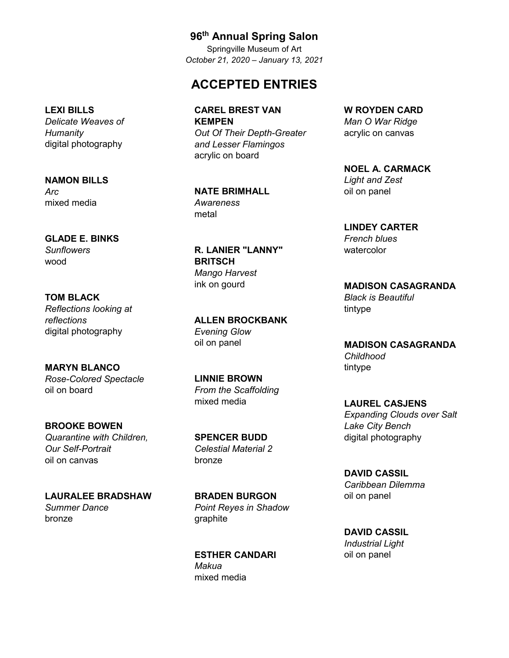## **ACCEPTED ENTRIES**

**CAREL BREST VAN KEMPEN** *Out Of Their Depth-Greater and Lesser Flamingos* acrylic on board

**NATE BRIMHALL** *Awareness* metal

**R. LANIER "LANNY" BRITSCH** *Mango Harvest* ink on gourd

**ALLEN BROCKBANK** *Evening Glow* oil on panel

**LINNIE BROWN** *From the Scaffolding* mixed media

**SPENCER BUDD** *Celestial Material 2* bronze

**BRADEN BURGON** *Point Reyes in Shadow* graphite

**ESTHER CANDARI** *Makua* mixed media

**W ROYDEN CARD** *Man O War Ridge* acrylic on canvas

**NOEL A. CARMACK** *Light and Zest* oil on panel

**LINDEY CARTER** *French blues* watercolor

**MADISON CASAGRANDA** *Black is Beautiful* tintype

**MADISON CASAGRANDA** *Childhood* tintype

**LAUREL CASJENS** *Expanding Clouds over Salt Lake City Bench* digital photography

**DAVID CASSIL** *Caribbean Dilemma* oil on panel

**DAVID CASSIL** *Industrial Light* oil on panel

# **LEXI BILLS**

*Delicate Weaves of Humanity* digital photography

**NAMON BILLS** *Arc* mixed media

**GLADE E. BINKS** *Sunflowers* wood

**TOM BLACK** *Reflections looking at reflections* digital photography

**MARYN BLANCO** *Rose-Colored Spectacle* oil on board

**BROOKE BOWEN** *Quarantine with Children, Our Self-Portrait* oil on canvas

**LAURALEE BRADSHAW** *Summer Dance* bronze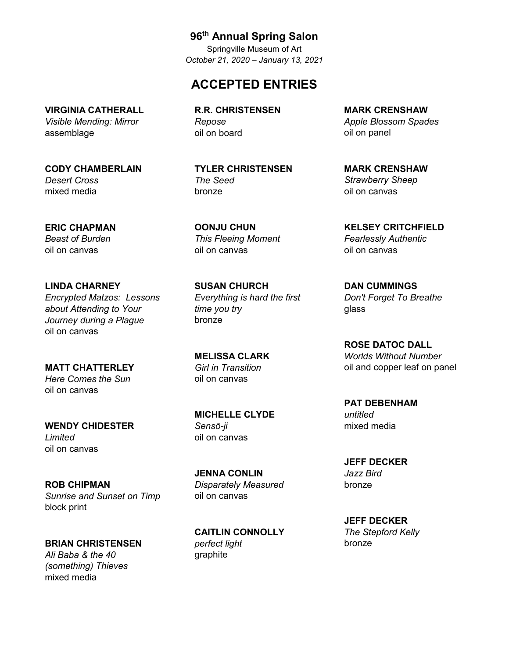## **ACCEPTED ENTRIES**

**R.R. CHRISTENSEN** *Repose* oil on board

**TYLER CHRISTENSEN** *The Seed* bronze

**OONJU CHUN** *This Fleeing Moment* oil on canvas

**SUSAN CHURCH** *Everything is hard the first time you try* bronze

**MELISSA CLARK** *Girl in Transition* oil on canvas

**MICHELLE CLYDE** *Sensō-ji* oil on canvas

**JENNA CONLIN** *Disparately Measured* oil on canvas

**CAITLIN CONNOLLY** *perfect light* graphite

**MARK CRENSHAW** *Apple Blossom Spades* oil on panel

**MARK CRENSHAW** *Strawberry Sheep* oil on canvas

**KELSEY CRITCHFIELD** *Fearlessly Authentic* oil on canvas

**DAN CUMMINGS** *Don't Forget To Breathe* glass

**ROSE DATOC DALL** *Worlds Without Number* oil and copper leaf on panel

**PAT DEBENHAM** *untitled* mixed media

**JEFF DECKER** *Jazz Bird* bronze

**JEFF DECKER** *The Stepford Kelly* bronze

#### **VIRGINIA CATHERALL** *Visible Mending: Mirror*

assemblage

**CODY CHAMBERLAIN** *Desert Cross* mixed media

**ERIC CHAPMAN** *Beast of Burden* oil on canvas

**LINDA CHARNEY** *Encrypted Matzos: Lessons about Attending to Your Journey during a Plague* oil on canvas

**MATT CHATTERLEY** *Here Comes the Sun* oil on canvas

**WENDY CHIDESTER** *Limited* oil on canvas

**ROB CHIPMAN** *Sunrise and Sunset on Timp* block print

**BRIAN CHRISTENSEN**

*Ali Baba & the 40 (something) Thieves* mixed media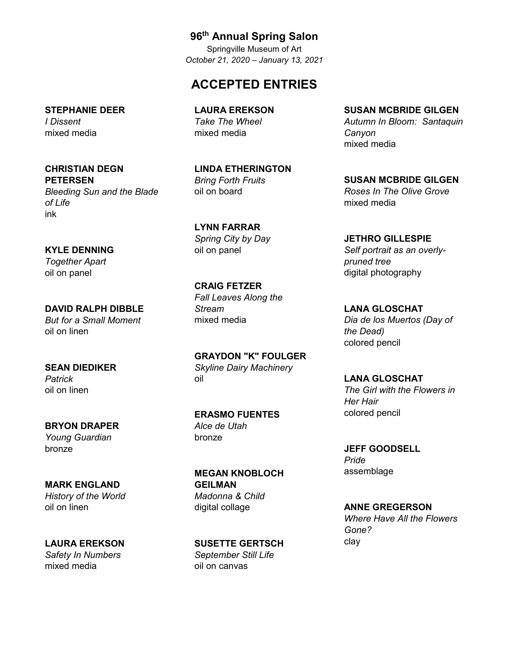## **ACCEPTED ENTRIES**

**LAURA EREKSON** *Take The Wheel* mixed media

**LINDA ETHERINGTON** *Bring Forth Fruits* oil on board

**LYNN FARRAR** *Spring City by Day* oil on panel

**CRAIG FETZER** *Fall Leaves Along the Stream* mixed media

**GRAYDON "K" FOULGER** *Skyline Dairy Machinery* oil

**ERASMO FUENTES** *Alce de Utah* bronze

**MEGAN KNOBLOCH GEILMAN** *Madonna & Child* digital collage

**SUSETTE GERTSCH** *September Still Life* oil on canvas

**SUSAN MCBRIDE GILGEN** *Autumn In Bloom: Santaquin Canyon* mixed media

**SUSAN MCBRIDE GILGEN** *Roses In The Olive Grove* mixed media

**JETHRO GILLESPIE** *Self portrait as an overlypruned tree* digital photography

**LANA GLOSCHAT** *Dia de los Muertos (Day of the Dead)* colored pencil

**LANA GLOSCHAT** *The Girl with the Flowers in Her Hair* colored pencil

**JEFF GOODSELL** *Pride* assemblage

**ANNE GREGERSON** *Where Have All the Flowers Gone?* clay

#### **STEPHANIE DEER** *I Dissent* mixed media

**CHRISTIAN DEGN PETERSEN**

*Bleeding Sun and the Blade of Life* ink

#### **KYLE DENNING**

*Together Apart* oil on panel

**DAVID RALPH DIBBLE** *But for a Small Moment* oil on linen

**SEAN DIEDIKER** *Patrick* oil on linen

**BRYON DRAPER** *Young Guardian* bronze

**MARK ENGLAND** *History of the World* oil on linen

**LAURA EREKSON** *Safety In Numbers* mixed media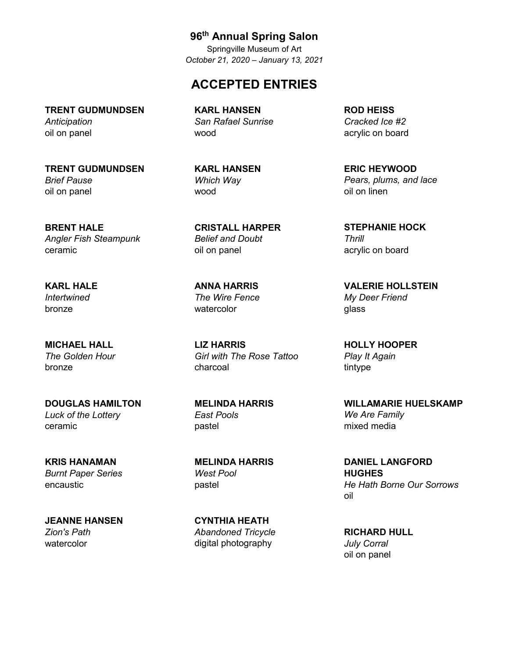## **ACCEPTED ENTRIES**

**TRENT GUDMUNDSEN** *Anticipation* oil on panel

**TRENT GUDMUNDSEN** *Brief Pause* oil on panel

**BRENT HALE** *Angler Fish Steampunk* ceramic

**KARL HALE** *Intertwined* bronze

**MICHAEL HALL** *The Golden Hour* bronze

**DOUGLAS HAMILTON** *Luck of the Lottery* ceramic

**KRIS HANAMAN** *Burnt Paper Series* encaustic

**JEANNE HANSEN** *Zion's Path* watercolor

**KARL HANSEN** *San Rafael Sunrise* wood

**KARL HANSEN** *Which Way* wood

**CRISTALL HARPER** *Belief and Doubt* oil on panel

**ANNA HARRIS** *The Wire Fence* watercolor

**LIZ HARRIS** *Girl with The Rose Tattoo* charcoal

**MELINDA HARRIS** *East Pools* pastel

**MELINDA HARRIS** *West Pool* pastel

**CYNTHIA HEATH** *Abandoned Tricycle* digital photography

**ROD HEISS** *Cracked Ice #2* acrylic on board

**ERIC HEYWOOD** *Pears, plums, and lace* oil on linen

**STEPHANIE HOCK** *Thrill* acrylic on board

**VALERIE HOLLSTEIN** *My Deer Friend* glass

**HOLLY HOOPER** *Play It Again* tintype

**WILLAMARIE HUELSKAMP** *We Are Family* mixed media

**DANIEL LANGFORD HUGHES** *He Hath Borne Our Sorrows* oil

**RICHARD HULL** *July Corral* oil on panel

**96th Annual Spring Salon**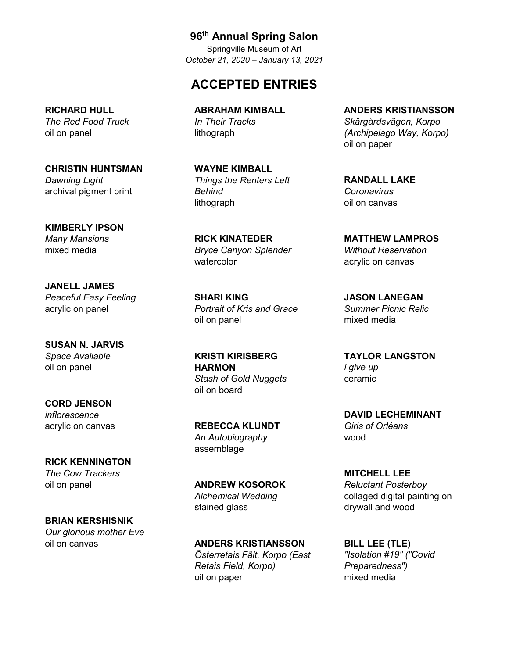## **ACCEPTED ENTRIES**

**ABRAHAM KIMBALL** *In Their Tracks* lithograph

**WAYNE KIMBALL** *Things the Renters Left Behind* lithograph

**RICK KINATEDER** *Bryce Canyon Splender* watercolor

**SHARI KING** *Portrait of Kris and Grace* oil on panel

**KRISTI KIRISBERG HARMON** *Stash of Gold Nuggets* oil on board

**REBECCA KLUNDT** *An Autobiography* assemblage

**ANDREW KOSOROK** *Alchemical Wedding* stained glass

**ANDERS KRISTIANSSON** *Österretais Fält, Korpo (East Retais Field, Korpo)* oil on paper

**ANDERS KRISTIANSSON** *Skärgårdsvägen, Korpo (Archipelago Way, Korpo)* oil on paper

**RANDALL LAKE** *Coronavirus* oil on canvas

**MATTHEW LAMPROS** *Without Reservation* acrylic on canvas

**JASON LANEGAN** *Summer Picnic Relic* mixed media

**TAYLOR LANGSTON** *i give up* ceramic

**DAVID LECHEMINANT** *Girls of Orléans* wood

**MITCHELL LEE** *Reluctant Posterboy* collaged digital painting on drywall and wood

**BILL LEE (TLE)** *"Isolation #19" ("Covid Preparedness")* mixed media

#### **RICHARD HULL** *The Red Food Truck* oil on panel

**CHRISTIN HUNTSMAN** *Dawning Light* archival pigment print

**KIMBERLY IPSON** *Many Mansions* mixed media

**JANELL JAMES** *Peaceful Easy Feeling* acrylic on panel

**SUSAN N. JARVIS** *Space Available* oil on panel

**CORD JENSON** *inflorescence* acrylic on canvas

**RICK KENNINGTON** *The Cow Trackers* oil on panel

**BRIAN KERSHISNIK** *Our glorious mother Eve* oil on canvas

**96th Annual Spring Salon**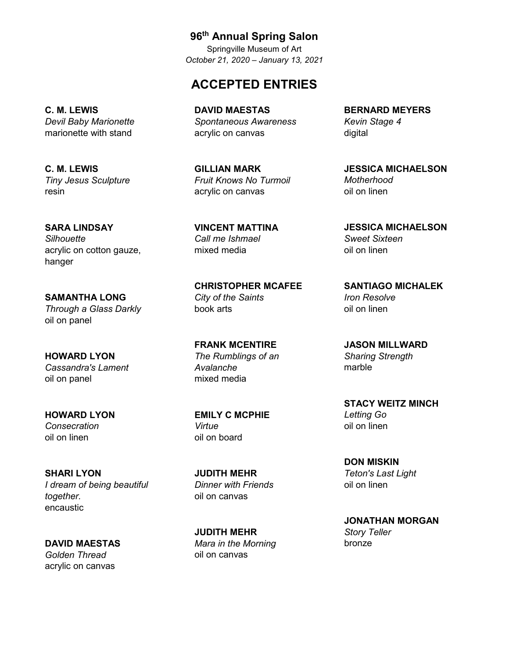## **ACCEPTED ENTRIES**

**96th Annual Spring Salon**

**DAVID MAESTAS** *Spontaneous Awareness* acrylic on canvas

**GILLIAN MARK** *Fruit Knows No Turmoil* acrylic on canvas

**VINCENT MATTINA** *Call me Ishmael* mixed media

**CHRISTOPHER MCAFEE** *City of the Saints* book arts

**FRANK MCENTIRE** *The Rumblings of an Avalanche* mixed media

**EMILY C MCPHIE** *Virtue* oil on board

**JUDITH MEHR** *Dinner with Friends* oil on canvas

**JUDITH MEHR** *Mara in the Morning* oil on canvas

**BERNARD MEYERS** *Kevin Stage 4* digital

**JESSICA MICHAELSON** *Motherhood* oil on linen

**JESSICA MICHAELSON** *Sweet Sixteen* oil on linen

**SANTIAGO MICHALEK** *Iron Resolve* oil on linen

**JASON MILLWARD** *Sharing Strength* marble

**STACY WEITZ MINCH** *Letting Go* oil on linen

**DON MISKIN** *Teton's Last Light* oil on linen

**JONATHAN MORGAN** *Story Teller* bronze

**C. M. LEWIS** *Devil Baby Marionette* marionette with stand

**C. M. LEWIS** *Tiny Jesus Sculpture* resin

**SARA LINDSAY** *Silhouette* acrylic on cotton gauze, hanger

**SAMANTHA LONG** *Through a Glass Darkly* oil on panel

**HOWARD LYON** *Cassandra's Lament* oil on panel

**HOWARD LYON** *Consecration* oil on linen

**SHARI LYON** *I dream of being beautiful together.* encaustic

**DAVID MAESTAS** *Golden Thread* acrylic on canvas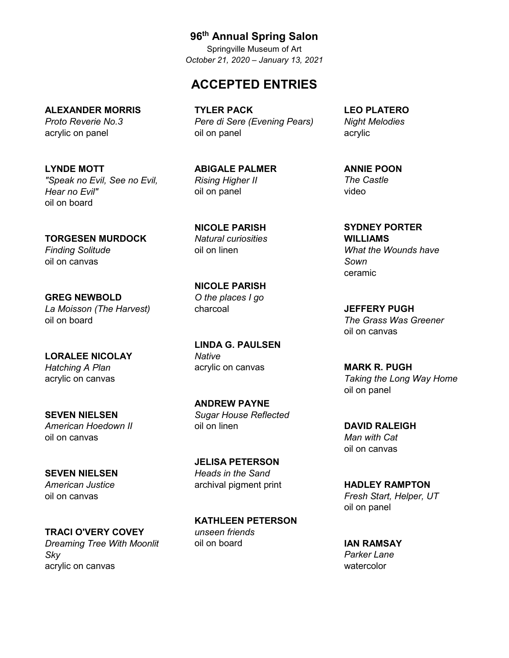## **ACCEPTED ENTRIES**

**ALEXANDER MORRIS** *Proto Reverie No.3*

acrylic on panel

**LYNDE MOTT** *"Speak no Evil, See no Evil, Hear no Evil"* oil on board

**TORGESEN MURDOCK** *Finding Solitude* oil on canvas

**GREG NEWBOLD** *La Moisson (The Harvest)* oil on board

**LORALEE NICOLAY** *Hatching A Plan* acrylic on canvas

**SEVEN NIELSEN** *American Hoedown II* oil on canvas

**SEVEN NIELSEN** *American Justice* oil on canvas

**TRACI O'VERY COVEY** *Dreaming Tree With Moonlit Sky* acrylic on canvas

**TYLER PACK** *Pere di Sere (Evening Pears)* oil on panel

**ABIGALE PALMER** *Rising Higher II* oil on panel

**NICOLE PARISH** *Natural curiosities* oil on linen

**NICOLE PARISH** *O the places I go* charcoal

**LINDA G. PAULSEN** *Native* acrylic on canvas

**ANDREW PAYNE** *Sugar House Reflected* oil on linen

**JELISA PETERSON** *Heads in the Sand* archival pigment print

**KATHLEEN PETERSON** *unseen friends* oil on board

**LEO PLATERO** *Night Melodies* acrylic

**ANNIE POON** *The Castle* video

**SYDNEY PORTER WILLIAMS** *What the Wounds have Sown* ceramic

**JEFFERY PUGH** *The Grass Was Greener* oil on canvas

**MARK R. PUGH** *Taking the Long Way Home* oil on panel

**DAVID RALEIGH** *Man with Cat* oil on canvas

**HADLEY RAMPTON** *Fresh Start, Helper, UT* oil on panel

**IAN RAMSAY** *Parker Lane* watercolor

# **96th Annual Spring Salon**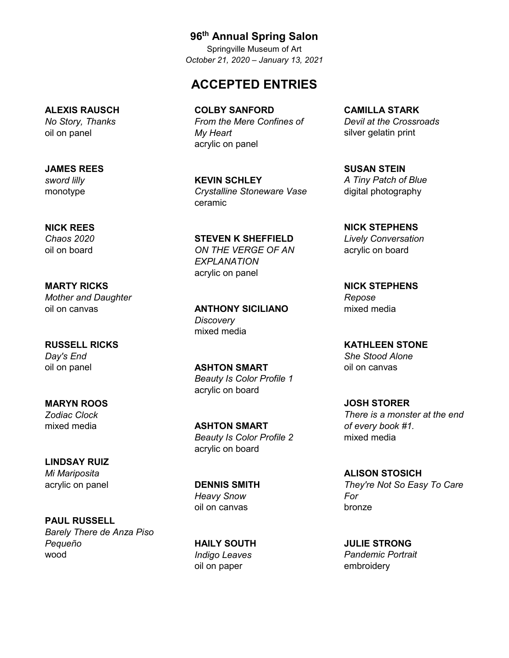## **ACCEPTED ENTRIES**

**COLBY SANFORD** *From the Mere Confines of My Heart* acrylic on panel

**KEVIN SCHLEY** *Crystalline Stoneware Vase* ceramic

**STEVEN K SHEFFIELD** *ON THE VERGE OF AN EXPLANATION* acrylic on panel

**ANTHONY SICILIANO** *Discovery* mixed media

**ASHTON SMART** *Beauty Is Color Profile 1* acrylic on board

**ASHTON SMART** *Beauty Is Color Profile 2* acrylic on board

**DENNIS SMITH** *Heavy Snow* oil on canvas

**HAILY SOUTH** *Indigo Leaves* oil on paper

**CAMILLA STARK** *Devil at the Crossroads* silver gelatin print

**SUSAN STEIN** *A Tiny Patch of Blue* digital photography

**NICK STEPHENS** *Lively Conversation* acrylic on board

**NICK STEPHENS** *Repose* mixed media

**KATHLEEN STONE** *She Stood Alone* oil on canvas

**JOSH STORER** *There is a monster at the end of every book #1.* mixed media

**ALISON STOSICH** *They're Not So Easy To Care For* bronze

**JULIE STRONG** *Pandemic Portrait* embroidery

#### **ALEXIS RAUSCH** *No Story, Thanks*

oil on panel

**JAMES REES** *sword lilly* monotype

#### **NICK REES**

*Chaos 2020* oil on board

**MARTY RICKS** *Mother and Daughter* oil on canvas

**RUSSELL RICKS** *Day's End* oil on panel

**MARYN ROOS** *Zodiac Clock* mixed media

**LINDSAY RUIZ** *Mi Mariposita* acrylic on panel

**PAUL RUSSELL** *Barely There de Anza Piso Pequeño* wood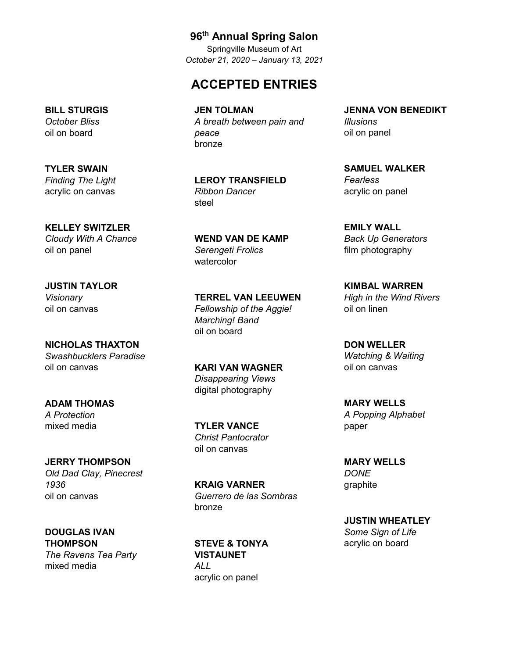## **ACCEPTED ENTRIES**

**JEN TOLMAN** *A breath between pain and peace* bronze

**LEROY TRANSFIELD** *Ribbon Dancer* steel

**WEND VAN DE KAMP** *Serengeti Frolics* watercolor

**TERREL VAN LEEUWEN** *Fellowship of the Aggie! Marching! Band* oil on board

**KARI VAN WAGNER** *Disappearing Views* digital photography

**TYLER VANCE** *Christ Pantocrator* oil on canvas

**KRAIG VARNER** *Guerrero de las Sombras* bronze

**STEVE & TONYA VISTAUNET** *ALL* acrylic on panel

**JENNA VON BENEDIKT** *Illusions* oil on panel

**SAMUEL WALKER** *Fearless* acrylic on panel

**EMILY WALL** *Back Up Generators* film photography

**KIMBAL WARREN** *High in the Wind Rivers* oil on linen

**DON WELLER** *Watching & Waiting* oil on canvas

**MARY WELLS** *A Popping Alphabet* paper

**MARY WELLS** *DONE* graphite

**JUSTIN WHEATLEY** *Some Sign of Life* acrylic on board

#### **BILL STURGIS** *October Bliss* oil on board

**TYLER SWAIN** *Finding The Light* acrylic on canvas

**KELLEY SWITZLER** *Cloudy With A Chance* oil on panel

**JUSTIN TAYLOR** *Visionary* oil on canvas

**NICHOLAS THAXTON** *Swashbucklers Paradise* oil on canvas

**ADAM THOMAS** *A Protection* mixed media

**JERRY THOMPSON** *Old Dad Clay, Pinecrest 1936* oil on canvas

**DOUGLAS IVAN THOMPSON** *The Ravens Tea Party* mixed media